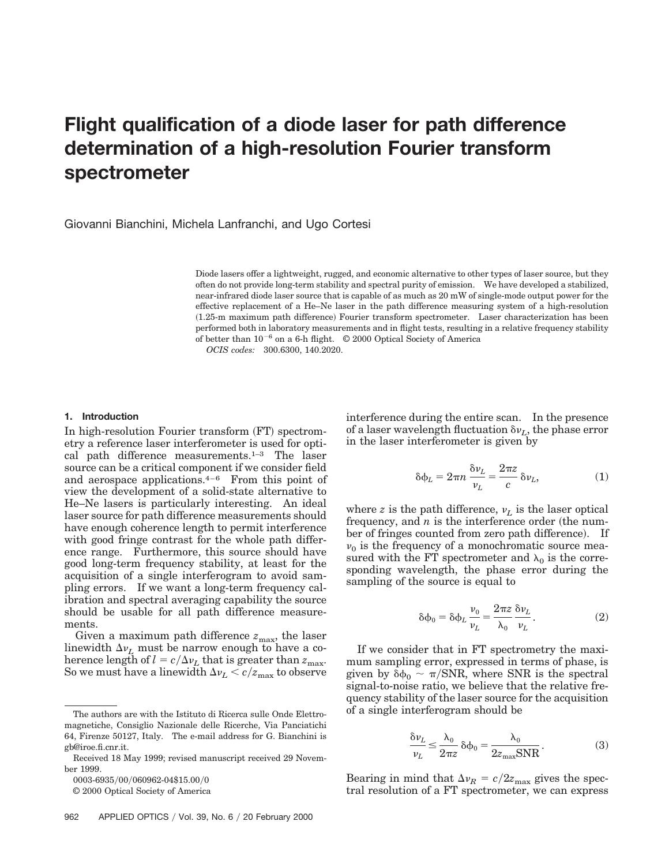# **Flight qualification of a diode laser for path difference determination of a high-resolution Fourier transform spectrometer**

Giovanni Bianchini, Michela Lanfranchi, and Ugo Cortesi

Diode lasers offer a lightweight, rugged, and economic alternative to other types of laser source, but they often do not provide long-term stability and spectral purity of emission. We have developed a stabilized, near-infrared diode laser source that is capable of as much as 20 mW of single-mode output power for the effective replacement of a He–Ne laser in the path difference measuring system of a high-resolution ~1.25-m maximum path difference! Fourier transform spectrometer. Laser characterization has been performed both in laboratory measurements and in flight tests, resulting in a relative frequency stability of better than  $10^{-6}$  on a 6-h flight.  $\odot$  2000 Optical Society of America

*OCIS codes:* 300.6300, 140.2020.

#### **1. Introduction**

In high-resolution Fourier transform  $(FT)$  spectrometry a reference laser interferometer is used for optical path difference measurements.1–3 The laser source can be a critical component if we consider field and aerospace applications. $4-6$  From this point of view the development of a solid-state alternative to He–Ne lasers is particularly interesting. An ideal laser source for path difference measurements should have enough coherence length to permit interference with good fringe contrast for the whole path difference range. Furthermore, this source should have good long-term frequency stability, at least for the acquisition of a single interferogram to avoid sampling errors. If we want a long-term frequency calibration and spectral averaging capability the source should be usable for all path difference measurements.

Given a maximum path difference  $z_{\text{max}}$ , the laser linewidth  $\Delta v_L$  must be narrow enough to have a coherence length of  $l = c/\Delta v_L$  that is greater than  $z_{\text{max}}$ . So we must have a linewidth  $\Delta v_L < c/z_{\rm max}$  to observe interference during the entire scan. In the presence of a laser wavelength fluctuation  $\delta v_L$ , the phase error in the laser interferometer is given by

$$
\delta \phi_L = 2\pi n \frac{\delta \nu_L}{\nu_L} = \frac{2\pi z}{c} \delta \nu_L, \tag{1}
$$

where *z* is the path difference,  $v_L$  is the laser optical frequency, and  $n$  is the interference order (the number of fringes counted from zero path difference). If  $v_0$  is the frequency of a monochromatic source measured with the FT spectrometer and  $\lambda_0$  is the corresponding wavelength, the phase error during the sampling of the source is equal to

$$
\delta \phi_0 = \delta \phi_L \frac{\nu_0}{\nu_L} = \frac{2\pi z}{\lambda_0} \frac{\delta \nu_L}{\nu_L}.
$$
 (2)

If we consider that in FT spectrometry the maximum sampling error, expressed in terms of phase, is given by  $\delta\phi_0 \sim \pi/\text{SNR}$ , where SNR is the spectral signal-to-noise ratio, we believe that the relative frequency stability of the laser source for the acquisition of a single interferogram should be

$$
\frac{\delta \nu_L}{\nu_L} \le \frac{\lambda_0}{2\pi z} \delta \phi_0 = \frac{\lambda_0}{2z_{\text{max}} \text{SNR}}.
$$
 (3)

Bearing in mind that  $\Delta v_R = c/2z_{\text{max}}$  gives the spectral resolution of a FT spectrometer, we can express

The authors are with the Istituto di Ricerca sulle Onde Elettromagnetiche, Consiglio Nazionale delle Ricerche, Via Panciatichi 64, Firenze 50127, Italy. The e-mail address for G. Bianchini is gb@iroe.fi.cnr.it.

Received 18 May 1999; revised manuscript received 29 November 1999.

<sup>0003-6935/00/060962-04\$15.00/0</sup> 

<sup>© 2000</sup> Optical Society of America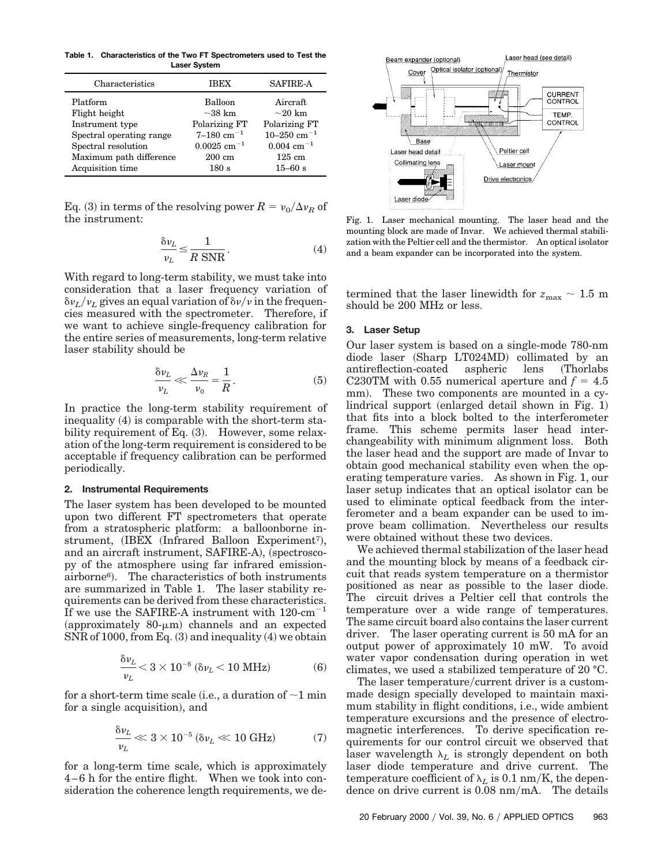**Table 1. Characteristics of the Two FT Spectrometers used to Test the Laser System**

| Characteristics          | <b>IBEX</b>               | <b>SAFIRE-A</b>          |
|--------------------------|---------------------------|--------------------------|
| Platform                 | <b>Balloon</b>            | Aircraft                 |
| Flight height            | $\sim$ 38 km              | $\sim$ 20 km             |
| Instrument type          | Polarizing FT             | Polarizing FT            |
| Spectral operating range | $7-180$ cm <sup>-1</sup>  | 10-250 cm <sup>-1</sup>  |
| Spectral resolution      | $0.0025$ cm <sup>-1</sup> | $0.004$ cm <sup>-1</sup> |
| Maximum path difference  | $200 \text{ cm}$          | $125 \text{ cm}$         |
| Acquisition time         | 180 s                     | $15 - 60$ s              |

Eq. (3) in terms of the resolving power  $R = v_0/\Delta v_R$  of the instrument:

$$
\frac{\delta \nu_L}{\nu_L} \le \frac{1}{R \text{ SNR}}.\tag{4}
$$

With regard to long-term stability, we must take into consideration that a laser frequency variation of  $\delta v_L/v_L$  gives an equal variation of  $\delta v/v$  in the frequencies measured with the spectrometer. Therefore, if we want to achieve single-frequency calibration for the entire series of measurements, long-term relative laser stability should be

$$
\frac{\delta \nu_L}{\nu_L} \ll \frac{\Delta \nu_R}{\nu_0} = \frac{1}{R} \,. \tag{5}
$$

In practice the long-term stability requirement of inequality  $(4)$  is comparable with the short-term stability requirement of Eq.  $(3)$ . However, some relaxation of the long-term requirement is considered to be acceptable if frequency calibration can be performed periodically.

#### **2. Instrumental Requirements**

The laser system has been developed to be mounted upon two different FT spectrometers that operate from a stratospheric platform: a balloonborne in $strument, (IBEX (Infrared Balloon Experiment7),$ and an aircraft instrument, SAFIRE-A), (spectroscopy of the atmosphere using far infrared emission $airborne<sup>6</sup>$ . The characteristics of both instruments are summarized in Table 1. The laser stability requirements can be derived from these characteristics. If we use the SAFIRE-A instrument with  $120 \text{--} \text{cm}^{-1}$ (approximately 80- $\mu$ m) channels and an expected  $SNR$  of 1000, from Eq.  $(3)$  and inequality  $(4)$  we obtain

$$
\frac{\delta \nu_L}{\nu_L} < 3 \times 10^{-8} \, (\delta \nu_L < 10 \, \text{MHz}) \tag{6}
$$

for a short-term time scale (i.e., a duration of  $\sim$ 1 min for a single acquisition), and

$$
\frac{\delta \nu_L}{\nu_L} \ll 3 \times 10^{-5} \left(\delta \nu_L \ll 10 \text{ GHz}\right) \tag{7}
$$

for a long-term time scale, which is approximately 4–6 h for the entire flight. When we took into consideration the coherence length requirements, we de-



Fig. 1. Laser mechanical mounting. The laser head and the mounting block are made of Invar. We achieved thermal stabilization with the Peltier cell and the thermistor. An optical isolator and a beam expander can be incorporated into the system.

termined that the laser linewidth for  $z_{\text{max}} \sim 1.5 \text{ m}$ should be 200 MHz or less.

## **3. Laser Setup**

Our laser system is based on a single-mode 780-nm diode laser (Sharp LT024MD) collimated by an antireflection-coated aspheric lens (Thorlabs) C230TM with 0.55 numerical aperture and  $f = 4.5$ mm). These two components are mounted in a cy $lindrical support (enlarged detail shown in Fig. 1)$ that fits into a block bolted to the interferometer frame. This scheme permits laser head interchangeability with minimum alignment loss. Both the laser head and the support are made of Invar to obtain good mechanical stability even when the operating temperature varies. As shown in Fig. 1, our laser setup indicates that an optical isolator can be used to eliminate optical feedback from the interferometer and a beam expander can be used to improve beam collimation. Nevertheless our results were obtained without these two devices.

We achieved thermal stabilization of the laser head and the mounting block by means of a feedback circuit that reads system temperature on a thermistor positioned as near as possible to the laser diode. The circuit drives a Peltier cell that controls the temperature over a wide range of temperatures. The same circuit board also contains the laser current driver. The laser operating current is 50 mA for an output power of approximately 10 mW. To avoid water vapor condensation during operation in wet climates, we used a stabilized temperature of 20 °C.

The laser temperature/current driver is a custommade design specially developed to maintain maximum stability in flight conditions, i.e., wide ambient temperature excursions and the presence of electromagnetic interferences. To derive specification requirements for our control circuit we observed that laser wavelength  $\lambda_L$  is strongly dependent on both laser diode temperature and drive current. The temperature coefficient of  $\lambda_L$  is 0.1 nm/K, the dependence on drive current is 0.08 nm/mA. The details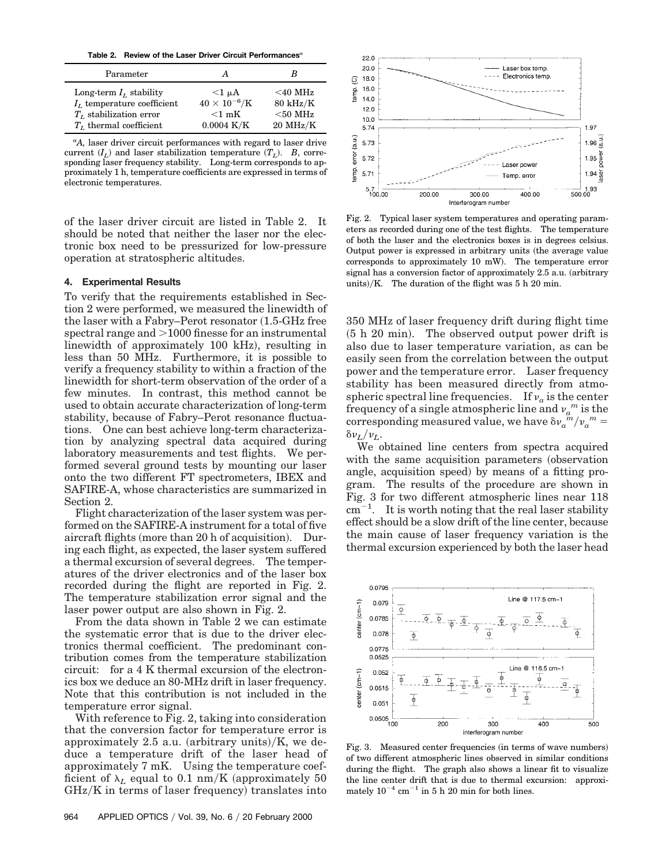**Table 2. Review of the Laser Driver Circuit Performances***<sup>a</sup>*

| Parameter                    | А                      | B                  |
|------------------------------|------------------------|--------------------|
| Long-term $I_t$ stability    | $<1 \mu A$             | $<$ 40 MHz         |
| $IL$ temperature coefficient | $40 \times 10^{-6}$ /K | $80 \text{ kHz/K}$ |
| $TL$ stabilization error     | $<$ 1 mK               | $< 50$ MHz         |
| $T_L$ thermal coefficient    | $0.0004 \text{ K/K}$   | $20$ MHz/K         |

*a A,* laser driver circuit performances with regard to laser drive current  $(I_L)$  and laser stabilization temperature  $(T_L)$ . *B*, corresponding laser frequency stability. Long-term corresponds to approximately 1 h, temperature coefficients are expressed in terms of electronic temperatures.

of the laser driver circuit are listed in Table 2. It should be noted that neither the laser nor the electronic box need to be pressurized for low-pressure operation at stratospheric altitudes.

## **4. Experimental Results**

To verify that the requirements established in Section 2 were performed, we measured the linewidth of the laser with a Fabry–Perot resonator  $(1.5\text{-}GHz$  free spectral range and  $>1000$  finesse for an instrumental linewidth of approximately 100 kHz), resulting in less than 50 MHz. Furthermore, it is possible to verify a frequency stability to within a fraction of the linewidth for short-term observation of the order of a few minutes. In contrast, this method cannot be used to obtain accurate characterization of long-term stability, because of Fabry–Perot resonance fluctuations. One can best achieve long-term characterization by analyzing spectral data acquired during laboratory measurements and test flights. We performed several ground tests by mounting our laser onto the two different FT spectrometers, IBEX and SAFIRE-A, whose characteristics are summarized in Section 2.

Flight characterization of the laser system was performed on the SAFIRE-A instrument for a total of five aircraft flights (more than  $20$  h of acquisition). During each flight, as expected, the laser system suffered a thermal excursion of several degrees. The temperatures of the driver electronics and of the laser box recorded during the flight are reported in Fig. 2. The temperature stabilization error signal and the laser power output are also shown in Fig. 2.

From the data shown in Table 2 we can estimate the systematic error that is due to the driver electronics thermal coefficient. The predominant contribution comes from the temperature stabilization circuit: for a 4 K thermal excursion of the electronics box we deduce an 80-MHz drift in laser frequency. Note that this contribution is not included in the temperature error signal.

With reference to Fig. 2, taking into consideration that the conversion factor for temperature error is approximately 2.5 a.u. (arbitrary units)/K, we deduce a temperature drift of the laser head of approximately 7 mK. Using the temperature coefficient of  $\lambda_L$  equal to 0.1 nm/K (approximately 50  $GHz/K$  in terms of laser frequency) translates into



Fig. 2. Typical laser system temperatures and operating parameters as recorded during one of the test flights. The temperature of both the laser and the electronics boxes is in degrees celsius. Output power is expressed in arbitrary units (the average value corresponds to approximately 10 mW). The temperature error signal has a conversion factor of approximately  $2.5$  a.u. (arbitrary units)/K. The duration of the flight was  $5 h 20$  min.

350 MHz of laser frequency drift during flight time  $(5 h 20 min)$ . The observed output power drift is also due to laser temperature variation, as can be easily seen from the correlation between the output power and the temperature error. Laser frequency stability has been measured directly from atmospheric spectral line frequencies. If  $v_a$  is the center frequency of a single atmospheric line and  $v_a^m$  is the corresponding measured value, we have  $\delta v_a^m/v_a^m =$  $\delta \nu_L/\nu_L$ .

We obtained line centers from spectra acquired with the same acquisition parameters (observation angle, acquisition speed) by means of a fitting program. The results of the procedure are shown in Fig. 3 for two different atmospheric lines near 118  $\rm cm^{-1}$ <sup>1</sup>. It is worth noting that the real laser stability effect should be a slow drift of the line center, because the main cause of laser frequency variation is the thermal excursion experienced by both the laser head



Fig. 3. Measured center frequencies (in terms of wave numbers) of two different atmospheric lines observed in similar conditions during the flight. The graph also shows a linear fit to visualize the line center drift that is due to thermal excursion: approximately  $10^{-4}$  cm<sup>-1</sup> in 5 h 20 min for both lines.